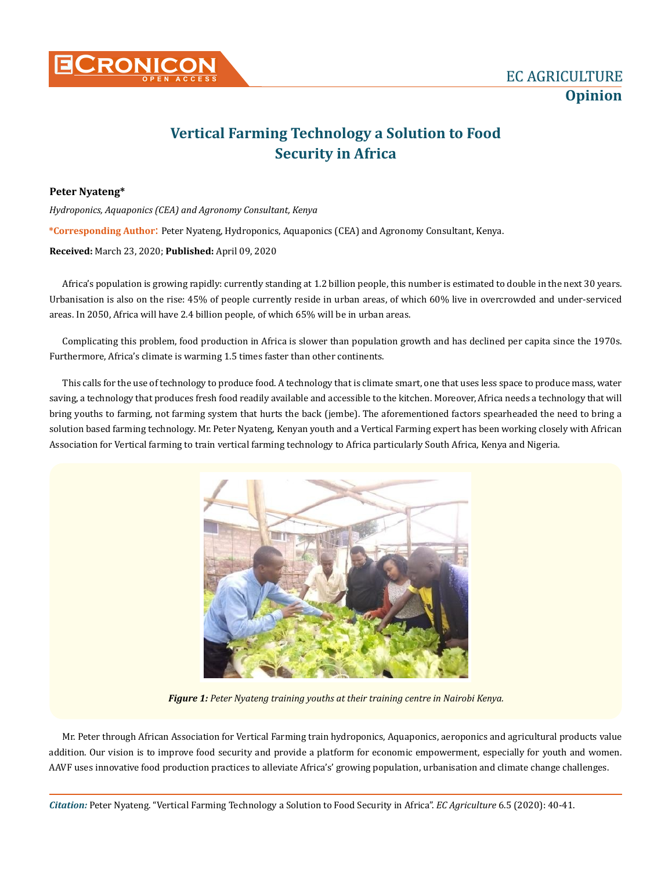

## **Vertical Farming Technology a Solution to Food Security in Africa**

**Peter Nyateng\***

*Hydroponics, Aquaponics (CEA) and Agronomy Consultant, Kenya* **\*Corresponding Author**: Peter Nyateng, Hydroponics, Aquaponics (CEA) and Agronomy Consultant, Kenya. **Received:** March 23, 2020; **Published:** April 09, 2020

Africa's population is growing rapidly: currently standing at 1.2 billion people, this number is estimated to double in the next 30 years. Urbanisation is also on the rise: 45% of people currently reside in urban areas, of which 60% live in overcrowded and under-serviced areas. In 2050, Africa will have 2.4 billion people, of which 65% will be in urban areas.

Complicating this problem, food production in Africa is slower than population growth and has declined per capita since the 1970s. Furthermore, Africa's climate is warming 1.5 times faster than other continents.

This calls for the use of technology to produce food. A technology that is climate smart, one that uses less space to produce mass, water saving, a technology that produces fresh food readily available and accessible to the kitchen. Moreover, Africa needs a technology that will bring youths to farming, not farming system that hurts the back (jembe). The aforementioned factors spearheaded the need to bring a solution based farming technology. Mr. Peter Nyateng, Kenyan youth and a Vertical Farming expert has been working closely with African Association for Vertical farming to train vertical farming technology to Africa particularly South Africa, Kenya and Nigeria.



*Figure 1: Peter Nyateng training youths at their training centre in Nairobi Kenya.*

Mr. Peter through African Association for Vertical Farming train hydroponics, Aquaponics, aeroponics and agricultural products value addition. Our vision is to improve food security and provide a platform for economic empowerment, especially for youth and women. AAVF uses innovative food production practices to alleviate Africa's' growing population, urbanisation and climate change challenges.